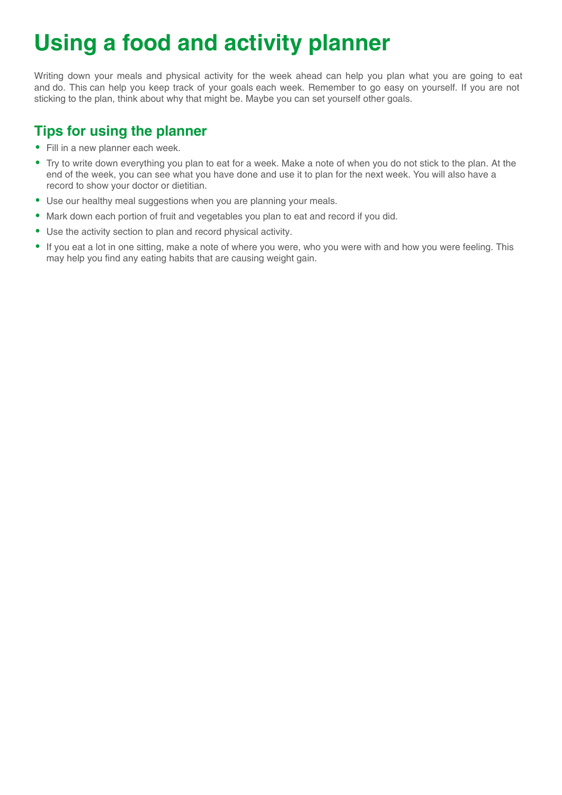## **Using a food and activity planner**

Writing down your meals and physical activity for the week ahead can help you plan what you are going to eat and do. This can help you keep track of your goals each week. Remember to go easy on yourself. If you are not sticking to the plan, think about why that might be. Maybe you can set yourself other goals.

## **Tips for using the planner**

- Fill in a new planner each week.
- Try to write down everything you plan to eat for a week. Make a note of when you do not stick to the plan. At the end of the week, you can see what you have done and use it to plan for the next week. You will also have a record to show your doctor or dietitian.
- Use our healthy meal suggestions when you are planning your meals.
- Mark down each portion of fruit and vegetables you plan to eat and record if you did.
- Use the activity section to plan and record physical activity.
- If you eat a lot in one sitting, make a note of where you were, who you were with and how you were feeling. This may help you find any eating habits that are causing weight gain.